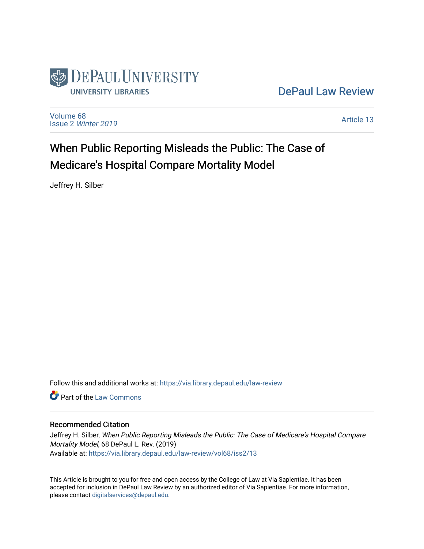

# [DePaul Law Review](https://via.library.depaul.edu/law-review)

[Volume 68](https://via.library.depaul.edu/law-review/vol68) Issue 2 [Winter 2019](https://via.library.depaul.edu/law-review/vol68/iss2) 

[Article 13](https://via.library.depaul.edu/law-review/vol68/iss2/13) 

# When Public Reporting Misleads the Public: The Case of Medicare's Hospital Compare Mortality Model

Jeffrey H. Silber

Follow this and additional works at: [https://via.library.depaul.edu/law-review](https://via.library.depaul.edu/law-review?utm_source=via.library.depaul.edu%2Flaw-review%2Fvol68%2Fiss2%2F13&utm_medium=PDF&utm_campaign=PDFCoverPages) 

**C** Part of the [Law Commons](http://network.bepress.com/hgg/discipline/578?utm_source=via.library.depaul.edu%2Flaw-review%2Fvol68%2Fiss2%2F13&utm_medium=PDF&utm_campaign=PDFCoverPages)

# Recommended Citation

Jeffrey H. Silber, When Public Reporting Misleads the Public: The Case of Medicare's Hospital Compare Mortality Model, 68 DePaul L. Rev. (2019) Available at: [https://via.library.depaul.edu/law-review/vol68/iss2/13](https://via.library.depaul.edu/law-review/vol68/iss2/13?utm_source=via.library.depaul.edu%2Flaw-review%2Fvol68%2Fiss2%2F13&utm_medium=PDF&utm_campaign=PDFCoverPages)

This Article is brought to you for free and open access by the College of Law at Via Sapientiae. It has been accepted for inclusion in DePaul Law Review by an authorized editor of Via Sapientiae. For more information, please contact [digitalservices@depaul.edu.](mailto:digitalservices@depaul.edu)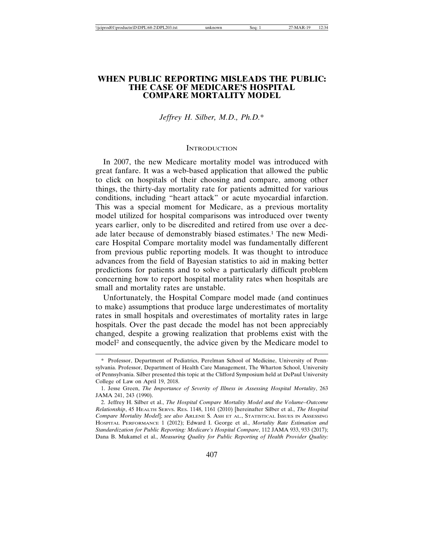# **WHEN PUBLIC REPORTING MISLEADS THE PUBLIC: THE CASE OF MEDICARE'S HOSPITAL COMPARE MORTALITY MODEL**

*Jeffrey H. Silber, M.D., Ph.D.*\*

#### **INTRODUCTION**

In 2007, the new Medicare mortality model was introduced with great fanfare. It was a web-based application that allowed the public to click on hospitals of their choosing and compare, among other things, the thirty-day mortality rate for patients admitted for various conditions, including "heart attack" or acute myocardial infarction. This was a special moment for Medicare, as a previous mortality model utilized for hospital comparisons was introduced over twenty years earlier, only to be discredited and retired from use over a decade later because of demonstrably biased estimates.1 The new Medicare Hospital Compare mortality model was fundamentally different from previous public reporting models. It was thought to introduce advances from the field of Bayesian statistics to aid in making better predictions for patients and to solve a particularly difficult problem concerning how to report hospital mortality rates when hospitals are small and mortality rates are unstable.

Unfortunately, the Hospital Compare model made (and continues to make) assumptions that produce large underestimates of mortality rates in small hospitals and overestimates of mortality rates in large hospitals. Over the past decade the model has not been appreciably changed, despite a growing realization that problems exist with the model2 and consequently, the advice given by the Medicare model to

<sup>\*</sup> Professor, Department of Pediatrics, Perelman School of Medicine, University of Pennsylvania. Professor, Department of Health Care Management, The Wharton School, University of Pennsylvania. Silber presented this topic at the Clifford Symposium held at DePaul University College of Law on April 19, 2018.

<sup>1.</sup> Jesse Green, *The Importance of Severity of Illness in Assessing Hospital Mortality*, 263 JAMA 241, 243 (1990).

<sup>2.</sup> Jeffrey H. Silber et al., *The Hospital Compare Mortality Model and the Volume–Outcome Relationship*, 45 HEALTH SERVS. RES. 1148, 1161 (2010) [hereinafter Silber et al., *The Hospital Compare Mortality Model*]; *see also* ARLENE S. ASH ET AL., STATISTICAL ISSUES IN ASSESSING HOSPITAL PERFORMANCE 1 (2012); Edward I. George et al., *Mortality Rate Estimation and Standardization for Public Reporting: Medicare's Hospital Compare*, 112 JAMA 933, 933 (2017); Dana B. Mukamel et al., *Measuring Quality for Public Reporting of Health Provider Quality:*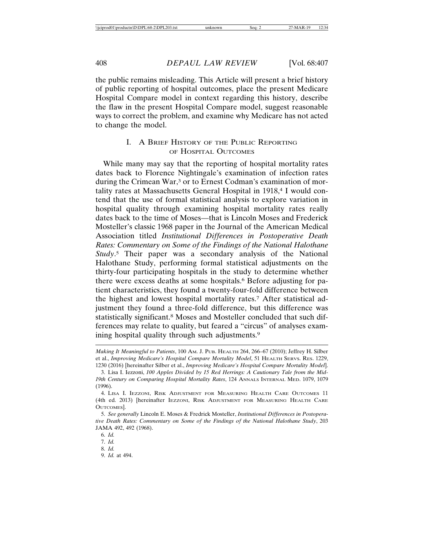the public remains misleading. This Article will present a brief history of public reporting of hospital outcomes, place the present Medicare Hospital Compare model in context regarding this history, describe the flaw in the present Hospital Compare model, suggest reasonable ways to correct the problem, and examine why Medicare has not acted to change the model.

#### I. A BRIEF HISTORY OF THE PUBLIC REPORTING OF HOSPITAL OUTCOMES

While many may say that the reporting of hospital mortality rates dates back to Florence Nightingale's examination of infection rates during the Crimean War,<sup>3</sup> or to Ernest Codman's examination of mortality rates at Massachusetts General Hospital in 1918,<sup>4</sup> I would contend that the use of formal statistical analysis to explore variation in hospital quality through examining hospital mortality rates really dates back to the time of Moses—that is Lincoln Moses and Frederick Mosteller's classic 1968 paper in the Journal of the American Medical Association titled *Institutional Differences in Postoperative Death Rates: Commentary on Some of the Findings of the National Halothane Study*. 5 Their paper was a secondary analysis of the National Halothane Study, performing formal statistical adjustments on the thirty-four participating hospitals in the study to determine whether there were excess deaths at some hospitals.<sup>6</sup> Before adjusting for patient characteristics, they found a twenty-four-fold difference between the highest and lowest hospital mortality rates.7 After statistical adjustment they found a three-fold difference, but this difference was statistically significant.8 Moses and Mosteller concluded that such differences may relate to quality, but feared a "circus" of analyses examining hospital quality through such adjustments.<sup>9</sup>

9. *Id.* at 494.

*Making It Meaningful to Patients*, 100 AM. J. PUB. HEALTH 264, 266–67 (2010); Jeffrey H. Silber et al., *Improving Medicare's Hospital Compare Mortality Model*, 51 HEALTH SERVS. RES. 1229, 1230 (2016) [hereinafter Silber et al., *Improving Medicare's Hospital Compare Mortality Model*].

<sup>3.</sup> Lisa I. Iezzoni, *100 Apples Divided by 15 Red Herrings: A Cautionary Tale from the Mid-19th Century on Comparing Hospital Mortality Rates*, 124 ANNALS INTERNAL MED. 1079, 1079 (1996).

<sup>4.</sup> LISA I. IEZZONI, RISK ADJUSTMENT FOR MEASURING HEALTH CARE OUTCOMES 11 (4th ed. 2013) [hereinafter IEZZONI, RISK ADJUSTMENT FOR MEASURING HEALTH CARE OUTCOMES].

<sup>5.</sup> *See generally* Lincoln E. Moses & Fredrick Mosteller, *Institutional Differences in Postoperative Death Rates: Commentary on Some of the Findings of the National Halothane Study*, 203 JAMA 492, 492 (1968).

<sup>6.</sup> *Id.*

<sup>7.</sup> *Id.*

<sup>8.</sup> *Id.*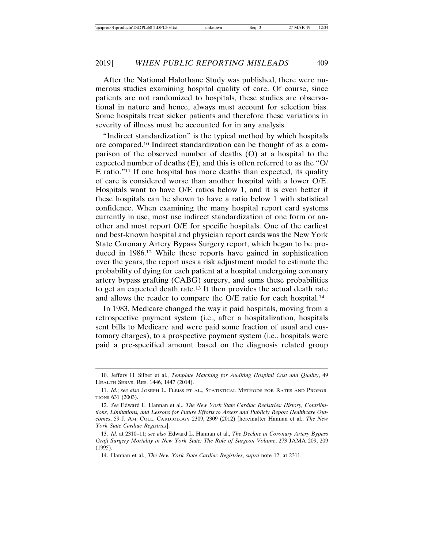After the National Halothane Study was published, there were numerous studies examining hospital quality of care. Of course, since patients are not randomized to hospitals, these studies are observational in nature and hence, always must account for selection bias. Some hospitals treat sicker patients and therefore these variations in severity of illness must be accounted for in any analysis.

"Indirect standardization" is the typical method by which hospitals are compared.10 Indirect standardization can be thought of as a comparison of the observed number of deaths (O) at a hospital to the expected number of deaths (E), and this is often referred to as the "O/ E ratio."11 If one hospital has more deaths than expected, its quality of care is considered worse than another hospital with a lower O/E. Hospitals want to have O/E ratios below 1, and it is even better if these hospitals can be shown to have a ratio below 1 with statistical confidence. When examining the many hospital report card systems currently in use, most use indirect standardization of one form or another and most report O/E for specific hospitals. One of the earliest and best-known hospital and physician report cards was the New York State Coronary Artery Bypass Surgery report, which began to be produced in 1986.12 While these reports have gained in sophistication over the years, the report uses a risk adjustment model to estimate the probability of dying for each patient at a hospital undergoing coronary artery bypass grafting (CABG) surgery, and sums these probabilities to get an expected death rate.13 It then provides the actual death rate and allows the reader to compare the O/E ratio for each hospital.14

In 1983, Medicare changed the way it paid hospitals, moving from a retrospective payment system (i.e., after a hospitalization, hospitals sent bills to Medicare and were paid some fraction of usual and customary charges), to a prospective payment system (i.e., hospitals were paid a pre-specified amount based on the diagnosis related group

<sup>10.</sup> Jeffery H. Silber et al., *Template Matching for Auditing Hospital Cost and Quality*, 49 HEALTH SERVS. RES. 1446, 1447 (2014).

<sup>11.</sup> *Id.*; *see also* JOSEPH L. FLEISS ET AL., STATISTICAL METHODS FOR RATES AND PROPOR-TIONS 631 (2003).

<sup>12.</sup> *See* Edward L. Hannan et al., *The New York State Cardiac Registries: History, Contributions, Limitations, and Lessons for Future Efforts to Assess and Publicly Report Healthcare Outcomes*, 59 J. AM. COLL. CARDIOLOGY 2309, 2309 (2012) [hereinafter Hannan et al., *The New York State Cardiac Registries*].

<sup>13.</sup> *Id.* at 2310–11; *see also* Edward L. Hannan et al., *The Decline in Coronary Artery Bypass Graft Surgery Mortality in New York State: The Role of Surgeon Volume*, 273 JAMA 209, 209 (1995).

<sup>14.</sup> Hannan et al., *The New York State Cardiac Registries*, *supra* note 12, at 2311.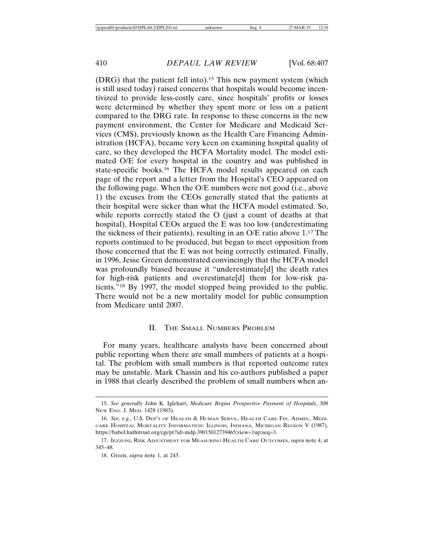(DRG) that the patient fell into).15 This new payment system (which is still used today) raised concerns that hospitals would become incentivized to provide less-costly care, since hospitals' profits or losses were determined by whether they spent more or less on a patient compared to the DRG rate. In response to these concerns in the new payment environment, the Center for Medicare and Medicaid Services (CMS), previously known as the Health Care Financing Administration (HCFA), became very keen on examining hospital quality of care, so they developed the HCFA Mortality model. The model estimated O/E for every hospital in the country and was published in state-specific books.16 The HCFA model results appeared on each page of the report and a letter from the Hospital's CEO appeared on the following page. When the O/E numbers were not good (i.e., above 1) the excuses from the CEOs generally stated that the patients at their hospital were sicker than what the HCFA model estimated. So, while reports correctly stated the O (just a count of deaths at that hospital), Hospital CEOs argued the E was too low (underestimating the sickness of their patients), resulting in an O/E ratio above 1.17 The reports continued to be produced, but began to meet opposition from those concerned that the E was not being correctly estimated. Finally, in 1996, Jesse Green demonstrated convincingly that the HCFA model was profoundly biased because it "underestimate[d] the death rates for high-risk patients and overestimate[d] them for low-risk patients."18 By 1997, the model stopped being provided to the public. There would not be a new mortality model for public consumption from Medicare until 2007.

#### II. THE SMALL NUMBERS PROBLEM

For many years, healthcare analysts have been concerned about public reporting when there are small numbers of patients at a hospital. The problem with small numbers is that reported outcome rates may be unstable. Mark Chassin and his co-authors published a paper in 1988 that clearly described the problem of small numbers when an-

<sup>15.</sup> *See generally* John K. Iglehart, *Medicare Begins Prospective Payment of Hospitals*, 308 NEW ENG. J. MED. 1428 (1983).

<sup>16.</sup> *See, e.g.*, U.S. DEP'T OF HEALTH & HUMAN SERVS., HEALTH CARE FIN. ADMIN., MEDI-CARE HOSPITAL MORTALITY INFORMATION: ILLINOIS, INDIANA, MICHIGAN REGION V (1987), https://babel.hathitrust.org/cgi/pt?id=mdp.39015012739465;view=1up;seq=3.

<sup>17.</sup> IEZZONI, RISK ADJUSTMENT FOR MEASURING HEALTH CARE OUTCOMES, *supra* note 4, at 345–48.

<sup>18.</sup> Green, *supra* note 1, at 243.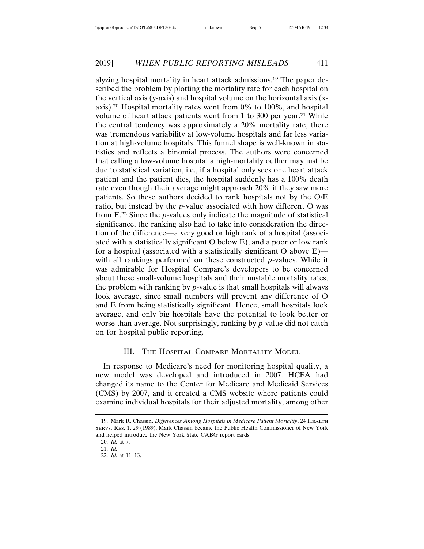alyzing hospital mortality in heart attack admissions.19 The paper described the problem by plotting the mortality rate for each hospital on the vertical axis (y-axis) and hospital volume on the horizontal axis (xaxis).20 Hospital mortality rates went from 0% to 100%, and hospital volume of heart attack patients went from 1 to 300 per year.<sup>21</sup> While the central tendency was approximately a 20% mortality rate, there was tremendous variability at low-volume hospitals and far less variation at high-volume hospitals. This funnel shape is well-known in statistics and reflects a binomial process. The authors were concerned that calling a low-volume hospital a high-mortality outlier may just be due to statistical variation, i.e., if a hospital only sees one heart attack patient and the patient dies, the hospital suddenly has a 100% death rate even though their average might approach 20% if they saw more patients. So these authors decided to rank hospitals not by the O/E ratio, but instead by the *p*-value associated with how different O was from E.22 Since the *p*-values only indicate the magnitude of statistical significance, the ranking also had to take into consideration the direction of the difference—a very good or high rank of a hospital (associated with a statistically significant O below E), and a poor or low rank for a hospital (associated with a statistically significant O above  $E$ ) with all rankings performed on these constructed *p*-values. While it was admirable for Hospital Compare's developers to be concerned about these small-volume hospitals and their unstable mortality rates, the problem with ranking by *p*-value is that small hospitals will always look average, since small numbers will prevent any difference of O and E from being statistically significant. Hence, small hospitals look average, and only big hospitals have the potential to look better or worse than average. Not surprisingly, ranking by *p*-value did not catch

# on for hospital public reporting.

#### III. THE HOSPITAL COMPARE MORTALITY MODEL

In response to Medicare's need for monitoring hospital quality, a new model was developed and introduced in 2007. HCFA had changed its name to the Center for Medicare and Medicaid Services (CMS) by 2007, and it created a CMS website where patients could examine individual hospitals for their adjusted mortality, among other

<sup>19.</sup> Mark R. Chassin, *Differences Among Hospitals in Medicare Patient Mortality*, 24 HEALTH SERVS. RES. 1, 29 (1989). Mark Chassin became the Public Health Commissioner of New York and helped introduce the New York State CABG report cards.

<sup>20.</sup> *Id.* at 7.

<sup>21.</sup> *Id.*

<sup>22.</sup> *Id.* at 11–13.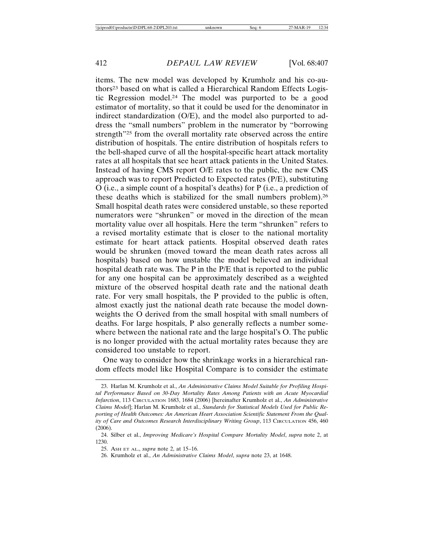items. The new model was developed by Krumholz and his co-authors<sup>23</sup> based on what is called a Hierarchical Random Effects Logistic Regression model.24 The model was purported to be a good estimator of mortality, so that it could be used for the denominator in indirect standardization (O/E), and the model also purported to address the "small numbers" problem in the numerator by "borrowing strength<sup>"25</sup> from the overall mortality rate observed across the entire distribution of hospitals. The entire distribution of hospitals refers to the bell-shaped curve of all the hospital-specific heart attack mortality rates at all hospitals that see heart attack patients in the United States. Instead of having CMS report O/E rates to the public, the new CMS approach was to report Predicted to Expected rates (P/E), substituting O (i.e., a simple count of a hospital's deaths) for P (i.e., a prediction of these deaths which is stabilized for the small numbers problem).26 Small hospital death rates were considered unstable, so these reported numerators were "shrunken" or moved in the direction of the mean mortality value over all hospitals. Here the term "shrunken" refers to a revised mortality estimate that is closer to the national mortality estimate for heart attack patients. Hospital observed death rates would be shrunken (moved toward the mean death rates across all hospitals) based on how unstable the model believed an individual hospital death rate was. The P in the P/E that is reported to the public for any one hospital can be approximately described as a weighted mixture of the observed hospital death rate and the national death rate. For very small hospitals, the P provided to the public is often, almost exactly just the national death rate because the model downweights the O derived from the small hospital with small numbers of deaths. For large hospitals, P also generally reflects a number somewhere between the national rate and the large hospital's O. The public is no longer provided with the actual mortality rates because they are considered too unstable to report.

One way to consider how the shrinkage works in a hierarchical random effects model like Hospital Compare is to consider the estimate

<sup>23.</sup> Harlan M. Krumholz et al., *An Administrative Claims Model Suitable for Profiling Hospital Performance Based on 30-Day Mortality Rates Among Patients with an Acute Myocardial Infarction*, 113 CIRCULATION 1683, 1684 (2006) [hereinafter Krumholz et al., *An Administrative Claims Model*]; Harlan M. Krumholz et al., *Standards for Statistical Models Used for Public Reporting of Health Outcomes: An American Heart Association Scientific Statement From the Quality of Care and Outcomes Research Interdisciplinary Writing Group*, 113 CIRCULATION 456, 460 (2006).

<sup>24.</sup> Silber et al., *Improving Medicare's Hospital Compare Mortality Model*, *supra* note 2, at 1230.

<sup>25.</sup> ASH ET AL., *supra* note 2, at 15–16.

<sup>26.</sup> Krumholz et al., *An Administrative Claims Model*, *supra* note 23, at 1648.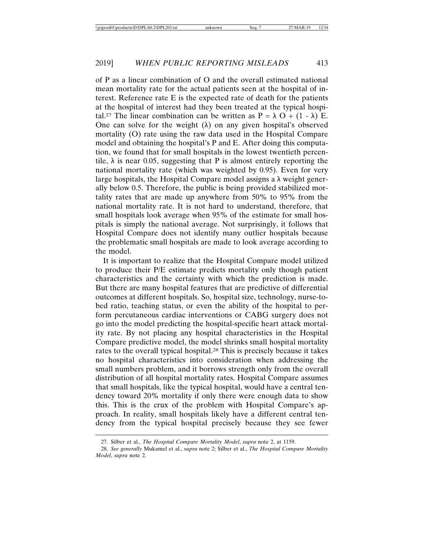of P as a linear combination of O and the overall estimated national mean mortality rate for the actual patients seen at the hospital of interest. Reference rate E is the expected rate of death for the patients at the hospital of interest had they been treated at the typical hospital.<sup>27</sup> The linear combination can be written as  $P = \lambda O + (1 - \lambda) E$ . One can solve for the weight  $(\lambda)$  on any given hospital's observed mortality (O) rate using the raw data used in the Hospital Compare model and obtaining the hospital's P and E. After doing this computation, we found that for small hospitals in the lowest twentieth percentile,  $\lambda$  is near 0.05, suggesting that P is almost entirely reporting the national mortality rate (which was weighted by 0.95). Even for very large hospitals, the Hospital Compare model assigns a  $\lambda$  weight generally below 0.5. Therefore, the public is being provided stabilized mortality rates that are made up anywhere from 50% to 95% from the national mortality rate. It is not hard to understand, therefore, that small hospitals look average when 95% of the estimate for small hospitals is simply the national average. Not surprisingly, it follows that Hospital Compare does not identify many outlier hospitals because the problematic small hospitals are made to look average according to the model.

It is important to realize that the Hospital Compare model utilized to produce their P/E estimate predicts mortality only though patient characteristics and the certainty with which the prediction is made. But there are many hospital features that are predictive of differential outcomes at different hospitals. So, hospital size, technology, nurse-tobed ratio, teaching status, or even the ability of the hospital to perform percutaneous cardiac interventions or CABG surgery does not go into the model predicting the hospital-specific heart attack mortality rate. By not placing any hospital characteristics in the Hospital Compare predictive model, the model shrinks small hospital mortality rates to the overall typical hospital.28 This is precisely because it takes no hospital characteristics into consideration when addressing the small numbers problem, and it borrows strength only from the overall distribution of all hospital mortality rates. Hospital Compare assumes that small hospitals, like the typical hospital, would have a central tendency toward 20% mortality if only there were enough data to show this. This is the crux of the problem with Hospital Compare's approach. In reality, small hospitals likely have a different central tendency from the typical hospital precisely because they see fewer

<sup>27.</sup> Silber et al., *The Hospital Compare Mortality Model*, *supra* note 2, at 1159.

<sup>28.</sup> *See generally* Mukamel et al., *supra* note 2; Silber et al., *The Hospital Compare Mortality Model*, *supra* note 2.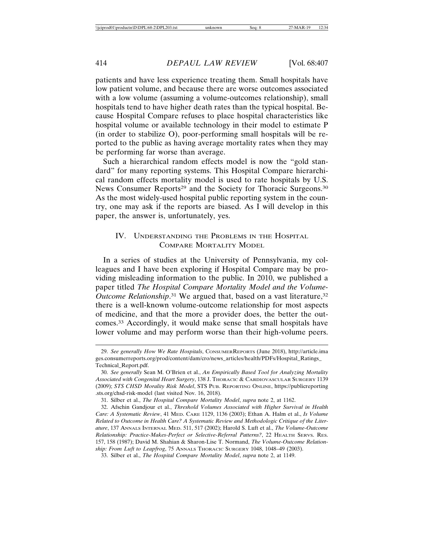patients and have less experience treating them. Small hospitals have low patient volume, and because there are worse outcomes associated with a low volume (assuming a volume-outcomes relationship), small hospitals tend to have higher death rates than the typical hospital. Because Hospital Compare refuses to place hospital characteristics like hospital volume or available technology in their model to estimate P (in order to stabilize O), poor-performing small hospitals will be reported to the public as having average mortality rates when they may be performing far worse than average.

Such a hierarchical random effects model is now the "gold standard" for many reporting systems. This Hospital Compare hierarchical random effects mortality model is used to rate hospitals by U.S. News Consumer Reports<sup>29</sup> and the Society for Thoracic Surgeons.<sup>30</sup> As the most widely-used hospital public reporting system in the country, one may ask if the reports are biased. As I will develop in this paper, the answer is, unfortunately, yes.

### IV. UNDERSTANDING THE PROBLEMS IN THE HOSPITAL COMPARE MORTALITY MODEL

In a series of studies at the University of Pennsylvania, my colleagues and I have been exploring if Hospital Compare may be providing misleading information to the public. In 2010, we published a paper titled *The Hospital Compare Mortality Model and the Volume-*Outcome Relationship.<sup>31</sup> We argued that, based on a vast literature,<sup>32</sup> there is a well-known volume-outcome relationship for most aspects of medicine, and that the more a provider does, the better the outcomes.33 Accordingly, it would make sense that small hospitals have lower volume and may perform worse than their high-volume peers.

<sup>29.</sup> *See generally How We Rate Hospitals*, CONSUMERREPORTS (June 2018), http://article.ima ges.consumerreports.org/prod/content/dam/cro/news\_articles/health/PDFs/Hospital\_Ratings\_ Technical\_Report.pdf.

<sup>30.</sup> *See generally* Sean M. O'Brien et al., *An Empirically Based Tool for Analyzing Mortality Associated with Congenital Heart Surgery*, 138 J. THORACIC & CARDIOVASCULAR SURGERY 1139 (2009); *STS CHSD Morality Risk Model*, STS PUB. REPORTING ONLINE, https://publicreporting .sts.org/chsd-risk-model (last visited Nov. 16, 2018).

<sup>31.</sup> Silber et al., *The Hospital Compare Mortality Model*, *supra* note 2, at 1162.

<sup>32.</sup> Afschin Gandjour et al., *Threshold Volumes Associated with Higher Survival in Health Care: A Systematic Review*, 41 MED. CARE 1129, 1136 (2003); Ethan A. Halm et al., *Is Volume Related to Outcome in Health Care? A Systematic Review and Methodologic Critique of the Literature*, 137 ANNALS INTERNAL MED. 511, 517 (2002); Harold S. Luft et al., *The Volume-Outcome Relationship: Practice-Makes-Perfect or Selective-Referral Patterns?*, 22 HEALTH SERVS. RES. 157, 158 (1987); David M. Shahian & Sharon-Lise T. Normand, *The Volume-Outcome Relationship: From Luft to Leapfrog*, 75 ANNALS THORACIC SURGERY 1048, 1048–49 (2003).

<sup>33.</sup> Silber et al., *The Hospital Compare Mortality Model*, *supra* note 2, at 1149.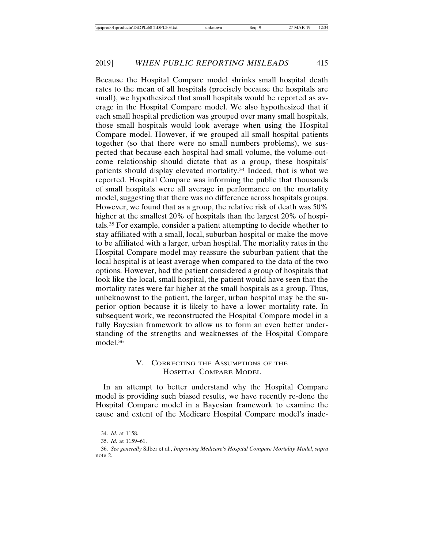Because the Hospital Compare model shrinks small hospital death rates to the mean of all hospitals (precisely because the hospitals are small), we hypothesized that small hospitals would be reported as average in the Hospital Compare model. We also hypothesized that if each small hospital prediction was grouped over many small hospitals, those small hospitals would look average when using the Hospital Compare model. However, if we grouped all small hospital patients together (so that there were no small numbers problems), we suspected that because each hospital had small volume, the volume-outcome relationship should dictate that as a group, these hospitals' patients should display elevated mortality.34 Indeed, that is what we reported. Hospital Compare was informing the public that thousands of small hospitals were all average in performance on the mortality model, suggesting that there was no difference across hospitals groups. However, we found that as a group, the relative risk of death was 50% higher at the smallest 20% of hospitals than the largest 20% of hospitals.35 For example, consider a patient attempting to decide whether to stay affiliated with a small, local, suburban hospital or make the move to be affiliated with a larger, urban hospital. The mortality rates in the Hospital Compare model may reassure the suburban patient that the local hospital is at least average when compared to the data of the two options. However, had the patient considered a group of hospitals that look like the local, small hospital, the patient would have seen that the mortality rates were far higher at the small hospitals as a group. Thus, unbeknownst to the patient, the larger, urban hospital may be the superior option because it is likely to have a lower mortality rate. In subsequent work, we reconstructed the Hospital Compare model in a fully Bayesian framework to allow us to form an even better understanding of the strengths and weaknesses of the Hospital Compare model.36

# V. CORRECTING THE ASSUMPTIONS OF THE HOSPITAL COMPARE MODEL

In an attempt to better understand why the Hospital Compare model is providing such biased results, we have recently re-done the Hospital Compare model in a Bayesian framework to examine the cause and extent of the Medicare Hospital Compare model's inade-

<sup>34.</sup> *Id.* at 1158.

<sup>35.</sup> *Id.* at 1159–61.

<sup>36.</sup> *See generally* Silber et al., *Improving Medicare's Hospital Compare Mortality Model*, *supra* note 2.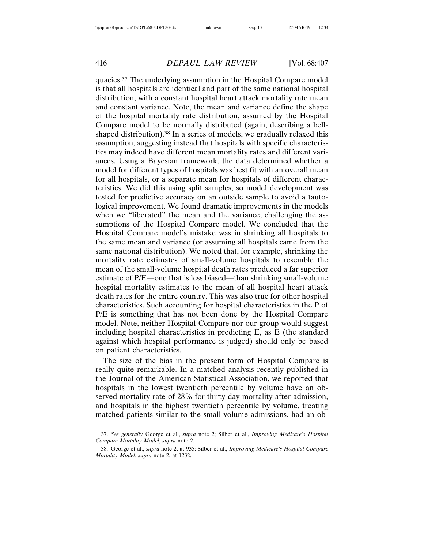quacies.37 The underlying assumption in the Hospital Compare model is that all hospitals are identical and part of the same national hospital distribution, with a constant hospital heart attack mortality rate mean and constant variance. Note, the mean and variance define the shape of the hospital mortality rate distribution, assumed by the Hospital Compare model to be normally distributed (again, describing a bellshaped distribution).38 In a series of models, we gradually relaxed this assumption, suggesting instead that hospitals with specific characteristics may indeed have different mean mortality rates and different variances. Using a Bayesian framework, the data determined whether a model for different types of hospitals was best fit with an overall mean for all hospitals, or a separate mean for hospitals of different characteristics. We did this using split samples, so model development was tested for predictive accuracy on an outside sample to avoid a tautological improvement. We found dramatic improvements in the models when we "liberated" the mean and the variance, challenging the assumptions of the Hospital Compare model. We concluded that the Hospital Compare model's mistake was in shrinking all hospitals to the same mean and variance (or assuming all hospitals came from the same national distribution). We noted that, for example, shrinking the mortality rate estimates of small-volume hospitals to resemble the mean of the small-volume hospital death rates produced a far superior estimate of P/E—one that is less biased—than shrinking small-volume hospital mortality estimates to the mean of all hospital heart attack death rates for the entire country. This was also true for other hospital characteristics. Such accounting for hospital characteristics in the P of P/E is something that has not been done by the Hospital Compare model. Note, neither Hospital Compare nor our group would suggest including hospital characteristics in predicting E, as E (the standard against which hospital performance is judged) should only be based on patient characteristics.

The size of the bias in the present form of Hospital Compare is really quite remarkable. In a matched analysis recently published in the Journal of the American Statistical Association, we reported that hospitals in the lowest twentieth percentile by volume have an observed mortality rate of 28% for thirty-day mortality after admission, and hospitals in the highest twentieth percentile by volume, treating matched patients similar to the small-volume admissions, had an ob-

<sup>37.</sup> *See generally* George et al., *supra* note 2; Silber et al., *Improving Medicare's Hospital Compare Mortality Model*, *supra* note 2.

<sup>38.</sup> George et al., *supra* note 2, at 935; Silber et al., *Improving Medicare's Hospital Compare Mortality Model*, *supra* note 2, at 1232.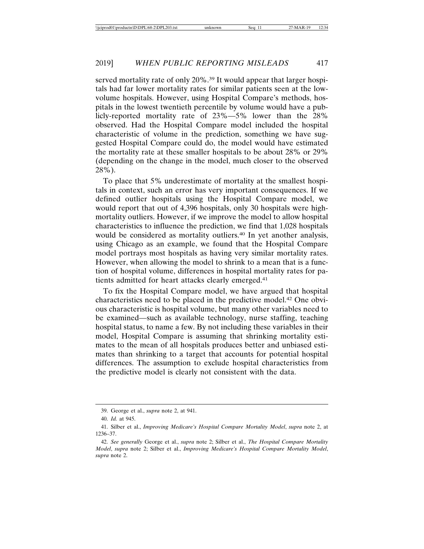served mortality rate of only 20%.<sup>39</sup> It would appear that larger hospitals had far lower mortality rates for similar patients seen at the lowvolume hospitals. However, using Hospital Compare's methods, hospitals in the lowest twentieth percentile by volume would have a publicly-reported mortality rate of 23%—5% lower than the 28% observed. Had the Hospital Compare model included the hospital characteristic of volume in the prediction, something we have suggested Hospital Compare could do, the model would have estimated the mortality rate at these smaller hospitals to be about 28% or 29% (depending on the change in the model, much closer to the observed 28%).

To place that 5% underestimate of mortality at the smallest hospitals in context, such an error has very important consequences. If we defined outlier hospitals using the Hospital Compare model, we would report that out of 4,396 hospitals, only 30 hospitals were highmortality outliers. However, if we improve the model to allow hospital characteristics to influence the prediction, we find that 1,028 hospitals would be considered as mortality outliers.<sup>40</sup> In yet another analysis, using Chicago as an example, we found that the Hospital Compare model portrays most hospitals as having very similar mortality rates. However, when allowing the model to shrink to a mean that is a function of hospital volume, differences in hospital mortality rates for patients admitted for heart attacks clearly emerged.41

To fix the Hospital Compare model, we have argued that hospital characteristics need to be placed in the predictive model.42 One obvious characteristic is hospital volume, but many other variables need to be examined—such as available technology, nurse staffing, teaching hospital status, to name a few. By not including these variables in their model, Hospital Compare is assuming that shrinking mortality estimates to the mean of all hospitals produces better and unbiased estimates than shrinking to a target that accounts for potential hospital differences. The assumption to exclude hospital characteristics from the predictive model is clearly not consistent with the data.

<sup>39.</sup> George et al., *supra* note 2, at 941.

<sup>40.</sup> *Id.* at 945.

<sup>41.</sup> Silber et al., *Improving Medicare's Hospital Compare Mortality Model*, *supra* note 2, at 1236–37.

<sup>42.</sup> *See generally* George et al., *supra* note 2; Silber et al., *The Hospital Compare Mortality Model*, *supra* note 2; Silber et al., *Improving Medicare's Hospital Compare Mortality Model*, *supra* note 2.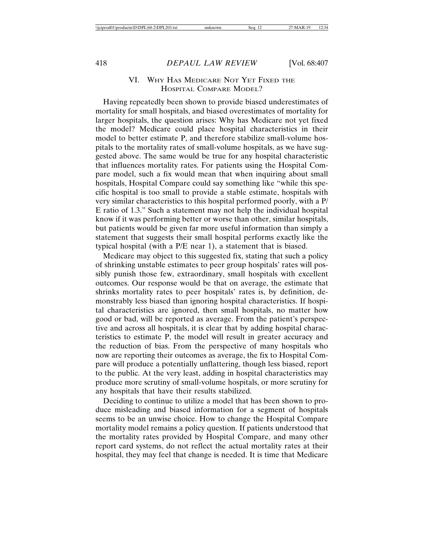### VI. WHY HAS MEDICARE NOT YET FIXED THE HOSPITAL COMPARE MODEL?

Having repeatedly been shown to provide biased underestimates of mortality for small hospitals, and biased overestimates of mortality for larger hospitals, the question arises: Why has Medicare not yet fixed the model? Medicare could place hospital characteristics in their model to better estimate P, and therefore stabilize small-volume hospitals to the mortality rates of small-volume hospitals, as we have suggested above. The same would be true for any hospital characteristic that influences mortality rates. For patients using the Hospital Compare model, such a fix would mean that when inquiring about small hospitals, Hospital Compare could say something like "while this specific hospital is too small to provide a stable estimate, hospitals with very similar characteristics to this hospital performed poorly, with a P/ E ratio of 1.3." Such a statement may not help the individual hospital know if it was performing better or worse than other, similar hospitals, but patients would be given far more useful information than simply a statement that suggests their small hospital performs exactly like the typical hospital (with a P/E near 1), a statement that is biased.

Medicare may object to this suggested fix, stating that such a policy of shrinking unstable estimates to peer group hospitals' rates will possibly punish those few, extraordinary, small hospitals with excellent outcomes. Our response would be that on average, the estimate that shrinks mortality rates to peer hospitals' rates is, by definition, demonstrably less biased than ignoring hospital characteristics. If hospital characteristics are ignored, then small hospitals, no matter how good or bad, will be reported as average. From the patient's perspective and across all hospitals, it is clear that by adding hospital characteristics to estimate P, the model will result in greater accuracy and the reduction of bias. From the perspective of many hospitals who now are reporting their outcomes as average, the fix to Hospital Compare will produce a potentially unflattering, though less biased, report to the public. At the very least, adding in hospital characteristics may produce more scrutiny of small-volume hospitals, or more scrutiny for any hospitals that have their results stabilized.

Deciding to continue to utilize a model that has been shown to produce misleading and biased information for a segment of hospitals seems to be an unwise choice. How to change the Hospital Compare mortality model remains a policy question. If patients understood that the mortality rates provided by Hospital Compare, and many other report card systems, do not reflect the actual mortality rates at their hospital, they may feel that change is needed. It is time that Medicare